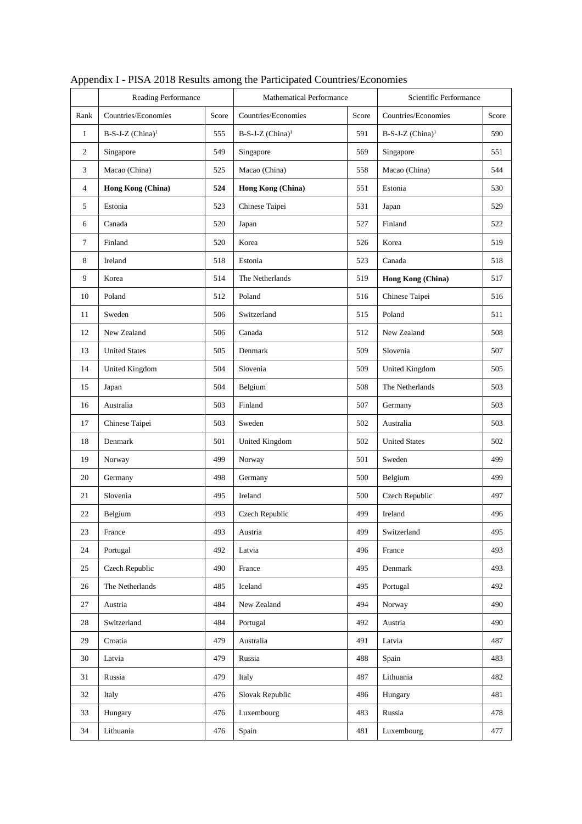|                  | Reading Performance            |       | <b>Mathematical Performance</b>     | Scientific Performance       |                                |     |
|------------------|--------------------------------|-------|-------------------------------------|------------------------------|--------------------------------|-----|
| Rank             | Countries/Economies            | Score | Countries/Economies<br>Score        |                              | Countries/Economies<br>Score   |     |
| $\mathbf{1}$     | $B-S-J-Z$ (China) <sup>1</sup> | 555   | B-S-J-Z (China) <sup>1</sup><br>591 |                              | $B-S-J-Z$ (China) <sup>1</sup> | 590 |
| 2                | Singapore                      | 549   | Singapore                           | 569<br>Singapore             |                                | 551 |
| 3                | Macao (China)                  | 525   | Macao (China)                       | 558                          | Macao (China)                  | 544 |
| 4                | Hong Kong (China)              | 524   | Hong Kong (China)                   | 551                          | Estonia                        | 530 |
| 5                | Estonia                        | 523   | Chinese Taipei                      | 531                          | Japan                          | 529 |
| 6                | Canada                         | 520   | Japan                               | 527                          | Finland                        | 522 |
| $\boldsymbol{7}$ | Finland                        | 520   | Korea                               | 526                          | Korea                          | 519 |
| 8                | Ireland                        | 518   | Estonia                             | 523                          | Canada                         | 518 |
| 9                | Korea                          | 514   | The Netherlands                     | 519                          | Hong Kong (China)              | 517 |
| 10               | Poland                         | 512   | Poland                              | 516                          | Chinese Taipei                 | 516 |
| 11               | Sweden                         | 506   | Switzerland                         | 515                          | Poland                         | 511 |
| 12               | New Zealand                    | 506   | Canada                              | 512                          | New Zealand                    | 508 |
| 13               | <b>United States</b>           | 505   | Denmark                             | 509                          | Slovenia                       | 507 |
| 14               | <b>United Kingdom</b>          | 504   | Slovenia                            | 509<br><b>United Kingdom</b> |                                | 505 |
| 15               | Japan                          | 504   | Belgium<br>508                      |                              | The Netherlands                | 503 |
| 16               | Australia                      | 503   | Finland                             |                              | Germany                        | 503 |
| 17               | Chinese Taipei                 | 503   | Sweden                              | 502                          | Australia                      | 503 |
| 18               | Denmark                        | 501   | United Kingdom                      | 502                          | <b>United States</b>           | 502 |
| 19               | Norway                         | 499   | Norway                              | 501                          | Sweden                         | 499 |
| 20               | Germany                        | 498   | Germany                             | 500                          | Belgium                        | 499 |
| 21               | Slovenia                       | 495   | Ireland                             | 500                          | Czech Republic                 | 497 |
| 22               | Belgium                        | 493   | Czech Republic                      | 499                          | Ireland                        | 496 |
| 23               | France                         | 493   | Austria                             | 499                          | Switzerland                    | 495 |
| 24               | Portugal                       | 492   | Latvia                              | 496                          | France                         | 493 |
| 25               | Czech Republic                 | 490   | France                              | 495                          | Denmark                        | 493 |
| 26               | The Netherlands                | 485   | Iceland                             | 495                          | Portugal                       | 492 |
| 27               | Austria                        | 484   | New Zealand                         | 494                          | Norway                         | 490 |
| 28               | Switzerland                    | 484   | Portugal                            | 492                          | Austria                        | 490 |
| 29               | Croatia                        | 479   | Australia                           | 491                          | Latvia                         | 487 |
| 30               | Latvia                         | 479   | Russia                              | 488                          | Spain                          | 483 |
| 31               | Russia                         | 479   | Italy                               | 487                          | Lithuania                      | 482 |
| 32               | Italy                          | 476   | Slovak Republic                     | 486                          | Hungary                        | 481 |
| 33               | Hungary                        | 476   | Luxembourg                          | 483                          | Russia                         | 478 |
| 34               | Lithuania                      | 476   | Spain                               | 481                          | Luxembourg                     | 477 |

Appendix I - PISA 2018 Results among the Participated Countries/Economies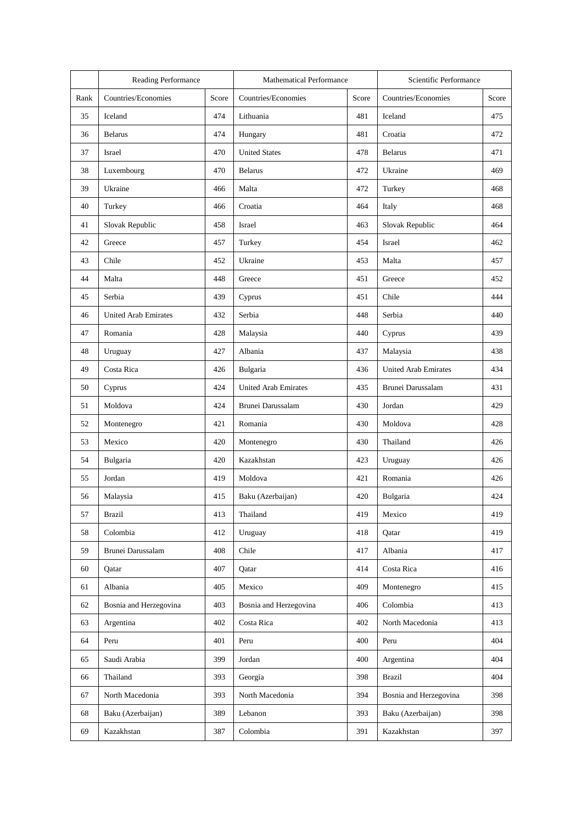|      | Reading Performance         |       | <b>Mathematical Performance</b>           |                | Scientific Performance      |       |  |
|------|-----------------------------|-------|-------------------------------------------|----------------|-----------------------------|-------|--|
| Rank | Countries/Economies         | Score | Countries/Economies<br>Score              |                | Countries/Economies         | Score |  |
| 35   | Iceland                     | 474   | 481<br>Lithuania                          |                | Iceland                     | 475   |  |
| 36   | <b>Belarus</b>              | 474   | Hungary                                   | 481            | Croatia                     |       |  |
| 37   | Israel                      | 470   | <b>United States</b>                      | 478            | <b>Belarus</b>              | 471   |  |
| 38   | Luxembourg                  | 470   | <b>Belarus</b>                            | 472            | Ukraine                     | 469   |  |
| 39   | Ukraine                     | 466   | Malta                                     | 472            | Turkey                      | 468   |  |
| 40   | Turkey                      | 466   | Croatia                                   | 464            | Italy                       | 468   |  |
| 41   | Slovak Republic             | 458   | Israel                                    | 463            | Slovak Republic             | 464   |  |
| 42   | Greece                      | 457   | Turkey                                    | 454            | Israel                      | 462   |  |
| 43   | Chile                       | 452   | Ukraine                                   | 453            | Malta                       | 457   |  |
| 44   | Malta                       | 448   | Greece                                    | 451            | Greece                      | 452   |  |
| 45   | Serbia                      | 439   | Cyprus                                    | 451            | Chile                       | 444   |  |
| 46   | <b>United Arab Emirates</b> | 432   | Serbia                                    | 448            | Serbia                      | 440   |  |
| 47   | Romania                     | 428   | Malaysia                                  | 440            | Cyprus                      | 439   |  |
| 48   | Uruguay                     | 427   | Albania                                   | 437            | Malaysia                    | 438   |  |
| 49   | Costa Rica                  | 426   | Bulgaria<br>436                           |                | <b>United Arab Emirates</b> | 434   |  |
| 50   | Cyprus                      | 424   | <b>United Arab Emirates</b><br>435        |                | Brunei Darussalam           | 431   |  |
| 51   | Moldova                     | 424   | Brunei Darussalam<br>430                  |                | Jordan                      | 429   |  |
| 52   | Montenegro                  | 421   | Romania                                   |                | Moldova                     | 428   |  |
| 53   | Mexico                      | 420   | Montenegro                                | 430            | Thailand                    | 426   |  |
| 54   | Bulgaria                    | 420   | Kazakhstan<br>423                         |                | Uruguay                     | 426   |  |
| 55   | Jordan                      | 419   | Moldova                                   | 421            | Romania                     | 426   |  |
| 56   | Malaysia                    | 415   | Baku (Azerbaijan)<br>420                  |                | Bulgaria                    | 424   |  |
| 57   | <b>Brazil</b>               | 413   | Thailand<br>419<br>Mexico                 |                |                             | 419   |  |
| 58   | Colombia                    | 412   | Uruguay                                   | 418<br>Qatar   |                             | 419   |  |
| 59   | Brunei Darussalam           | 408   | Chile                                     | 417<br>Albania |                             | 417   |  |
| 60   | Oatar                       | 407   | 414<br>Costa Rica<br>Qatar                |                |                             | 416   |  |
| 61   | Albania                     | 405   | 409<br>Mexico<br>Montenegro               |                |                             | 415   |  |
| 62   | Bosnia and Herzegovina      | 403   | Colombia<br>Bosnia and Herzegovina<br>406 |                |                             | 413   |  |
| 63   | Argentina                   | 402   | Costa Rica                                |                | North Macedonia             | 413   |  |
| 64   | Peru                        | 401   | Peru                                      | 400            | Peru                        | 404   |  |
| 65   | Saudi Arabia                | 399   | Jordan                                    | 400            | Argentina                   | 404   |  |
| 66   | Thailand                    | 393   | Georgia                                   | 398            | <b>Brazil</b>               | 404   |  |
| 67   | North Macedonia             | 393   | North Macedonia                           | 394            | Bosnia and Herzegovina      | 398   |  |
| 68   | Baku (Azerbaijan)           | 389   | Lebanon                                   | 393            | Baku (Azerbaijan)           | 398   |  |
| 69   | Kazakhstan                  | 387   | Colombia                                  | 391            | Kazakhstan                  | 397   |  |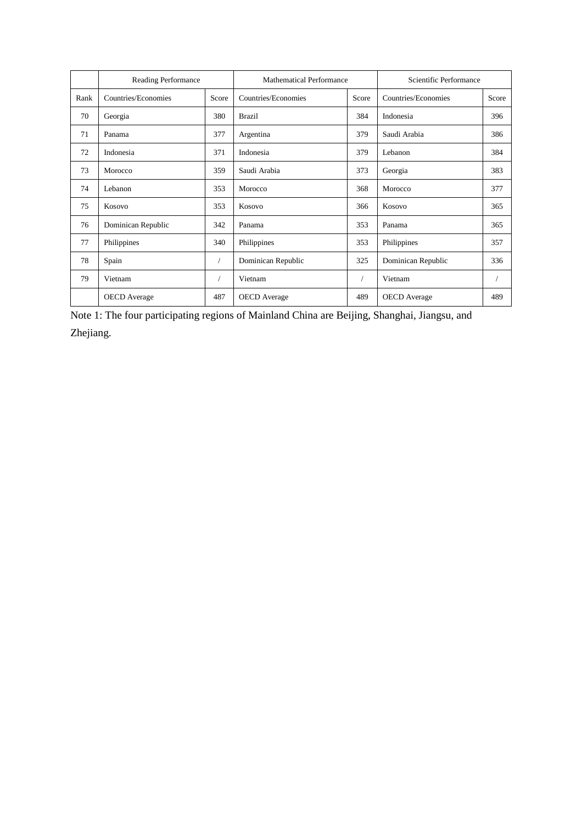|      | Reading Performance |       | <b>Mathematical Performance</b> | Scientific Performance |                     |       |
|------|---------------------|-------|---------------------------------|------------------------|---------------------|-------|
| Rank | Countries/Economies | Score | Countries/Economies             | Score                  | Countries/Economies | Score |
| 70   | Georgia             | 380   | <b>Brazil</b>                   | 384                    | Indonesia           | 396   |
| 71   | Panama              | 377   | Argentina                       | 379                    | Saudi Arabia        | 386   |
| 72   | Indonesia           | 371   | Indonesia                       | 379                    | Lebanon             | 384   |
| 73   | Morocco             | 359   | Saudi Arabia                    | 373                    | Georgia             | 383   |
| 74   | Lebanon             | 353   | Morocco                         | 368                    | Morocco             | 377   |
| 75   | Kosovo              | 353   | Kosovo                          | 366                    | Kosovo              | 365   |
| 76   | Dominican Republic  | 342   | Panama                          | 353                    | Panama              | 365   |
| 77   | Philippines         | 340   | Philippines                     | 353                    | Philippines         | 357   |
| 78   | Spain               |       | Dominican Republic              | 325                    | Dominican Republic  | 336   |
| 79   | Vietnam             |       | Vietnam                         |                        | Vietnam             |       |
|      | <b>OECD</b> Average | 487   | <b>OECD</b> Average             | 489                    | <b>OECD</b> Average | 489   |

Note 1: The four participating regions of Mainland China are Beijing, Shanghai, Jiangsu, and Zhejiang.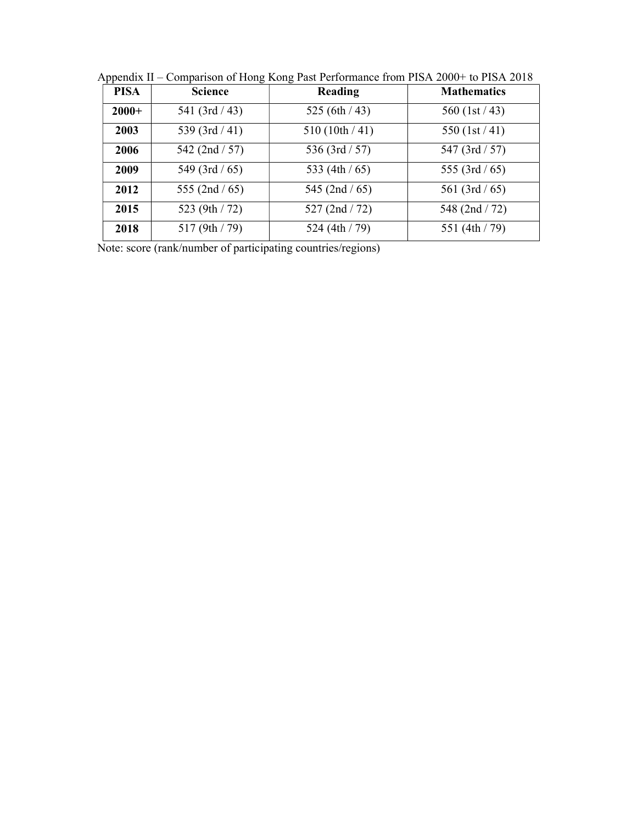| <b>PISA</b> | <b>Science</b>   | Reading           | <b>Mathematics</b> |  |  |
|-------------|------------------|-------------------|--------------------|--|--|
| $2000+$     | 541 $(3rd/43)$   | 525 (6th $/43$ )  | 560 $(1st/43)$     |  |  |
| 2003        | 539 $(3rd/41)$   | 510(10th/41)      | 550 $(1st/41)$     |  |  |
| 2006        | 542 $(2nd / 57)$ | 536 (3rd $/ 57$ ) | 547 (3rd / 57)     |  |  |
| 2009        | 549 $(3rd/65)$   | 533 (4th $/$ 65)  | 555 (3rd $/$ 65)   |  |  |
| 2012        | 555 (2nd $/$ 65) | 545 (2nd $/ 65$ ) | 561 (3rd / 65)     |  |  |
| 2015        | 523 (9th / 72)   | 527 (2nd / 72)    | 548 (2nd / 72)     |  |  |
| 2018        | 517(9th/79)      | 524 (4th / 79)    | 551 (4th / 79)     |  |  |

Appendix II – Comparison of Hong Kong Past Performance from PISA 2000+ to PISA 2018

Note: score (rank/number of participating countries/regions)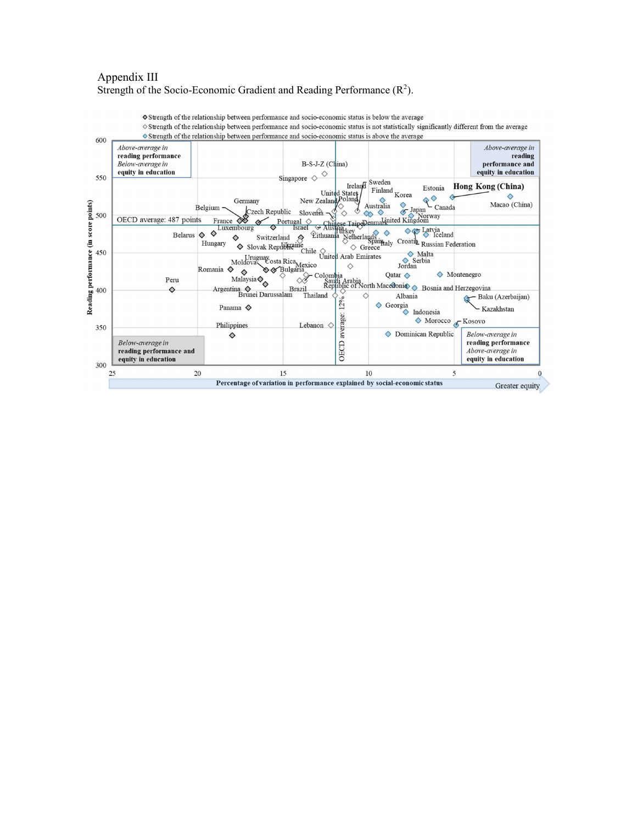#### Appendix III Strength of the Socio-Economic Gradient and Reading Performance  $(R^2)$ .

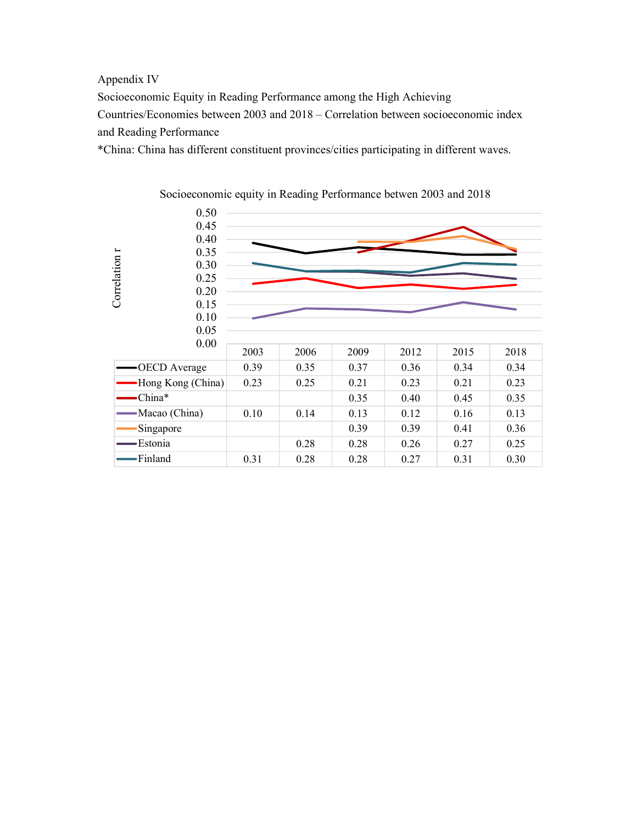### Appendix IV

Socioeconomic Equity in Reading Performance among the High Achieving Countries/Economies between 2003 and 2018 – Correlation between socioeconomic index and Reading Performance

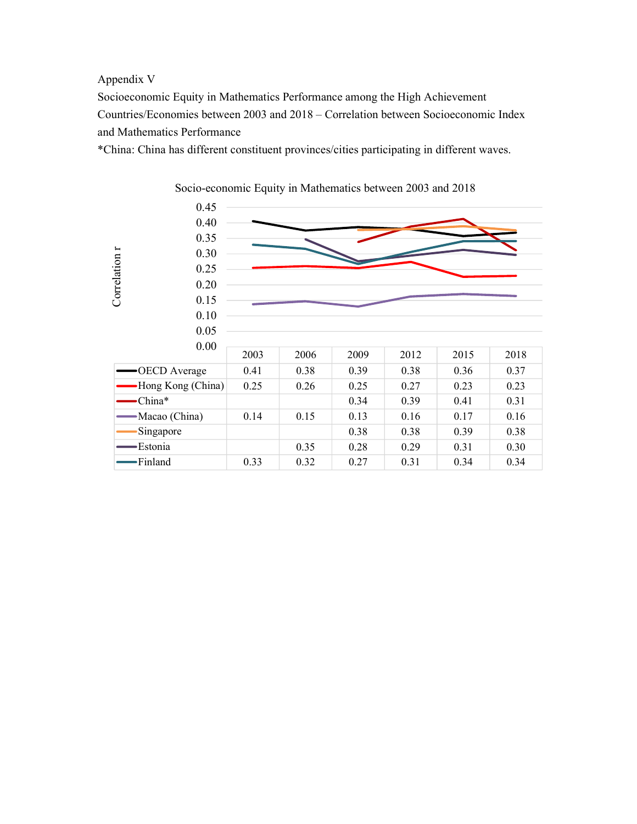### Appendix V

Socioeconomic Equity in Mathematics Performance among the High Achievement Countries/Economies between 2003 and 2018 – Correlation between Socioeconomic Index and Mathematics Performance

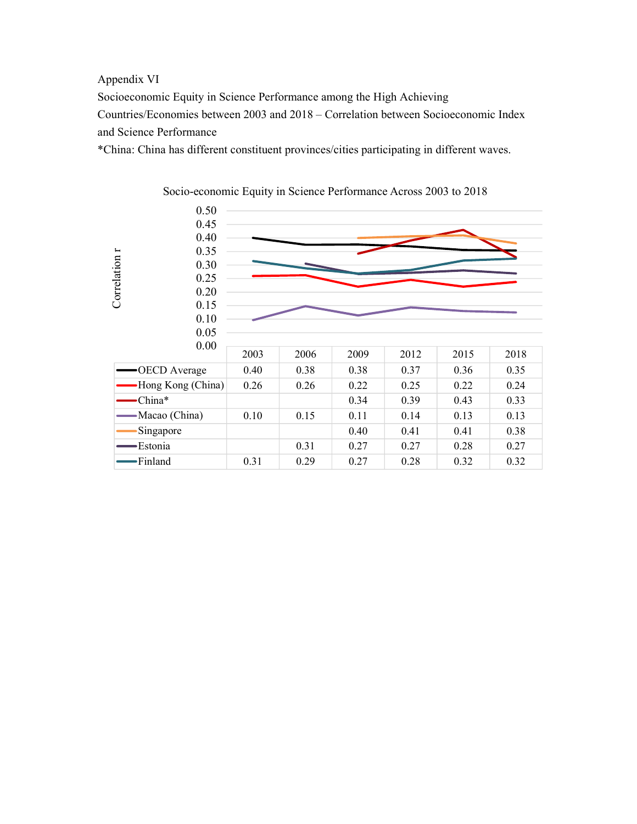### Appendix VI

Socioeconomic Equity in Science Performance among the High Achieving Countries/Economies between 2003 and 2018 – Correlation between Socioeconomic Index and Science Performance

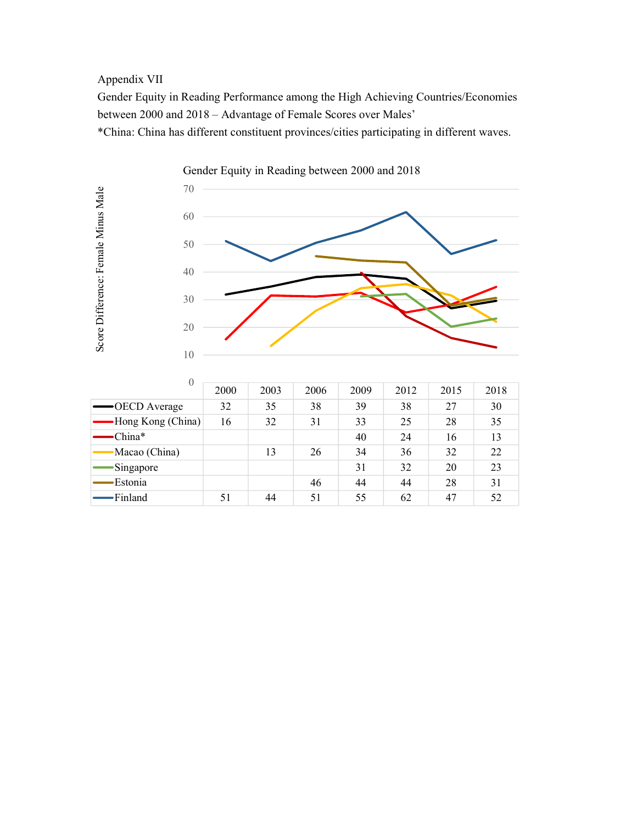# Appendix VII

Gender Equity in Reading Performance among the High Achieving Countries/Economies between 2000 and 2018 – Advantage of Female Scores over Males'

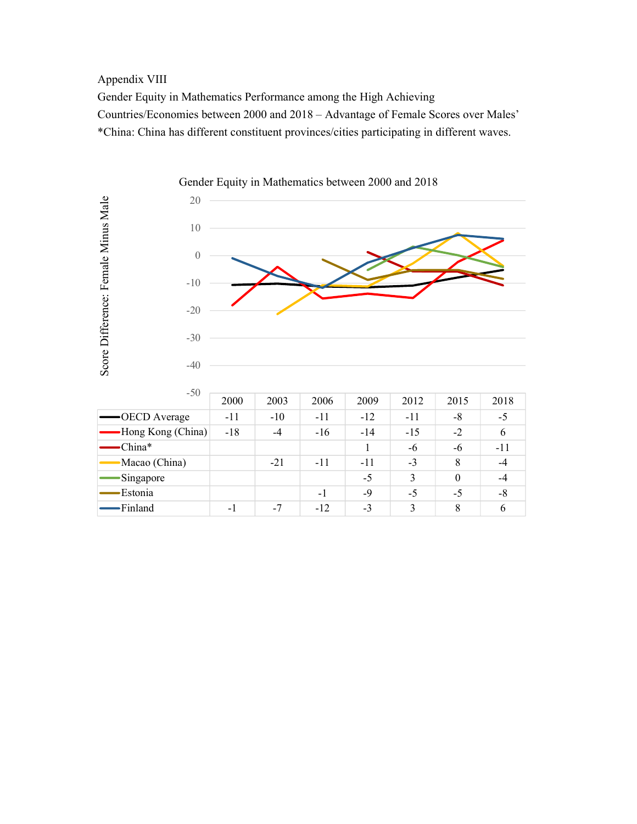## Appendix VIII

Gender Equity in Mathematics Performance among the High Achieving Countries/Economies between 2000 and 2018 – Advantage of Female Scores over Males' \*China: China has different constituent provinces/cities participating in different waves.



| $-50$             |                          |       |       |       |       |          |       |  |
|-------------------|--------------------------|-------|-------|-------|-------|----------|-------|--|
|                   | 2000                     | 2003  | 2006  | 2009  | 2012  | 2015     | 2018  |  |
| -OECD Average     | $-11$                    | $-10$ | $-11$ | $-12$ | $-11$ | -8       | $-5$  |  |
| Hong Kong (China) | $-18$                    | $-4$  | $-16$ | $-14$ | $-15$ | $-2$     | 6     |  |
| China*            |                          |       |       |       | -6    | -6       | $-11$ |  |
| Macao (China)     |                          | $-21$ | $-11$ | $-11$ | $-3$  | 8        | $-4$  |  |
| Singapore         |                          |       |       | $-5$  | 3     | $\theta$ | -4    |  |
| Estonia           |                          |       | $-1$  | -9    | $-5$  | $-5$     | -8    |  |
| Finland           | $\overline{\phantom{0}}$ | $-7$  | $-12$ | $-3$  | ζ     | 8        |       |  |